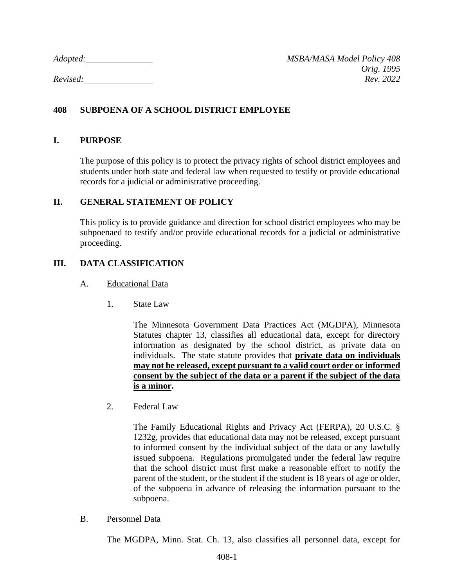# **408 SUBPOENA OF A SCHOOL DISTRICT EMPLOYEE**

#### **I. PURPOSE**

The purpose of this policy is to protect the privacy rights of school district employees and students under both state and federal law when requested to testify or provide educational records for a judicial or administrative proceeding.

### **II. GENERAL STATEMENT OF POLICY**

This policy is to provide guidance and direction for school district employees who may be subpoenaed to testify and/or provide educational records for a judicial or administrative proceeding.

# **III. DATA CLASSIFICATION**

#### A. Educational Data

1. State Law

The Minnesota Government Data Practices Act (MGDPA), Minnesota Statutes chapter 13, classifies all educational data, except for directory information as designated by the school district, as private data on individuals. The state statute provides that **private data on individuals may not be released, except pursuant to a valid court order or informed consent by the subject of the data or a parent if the subject of the data is a minor.**

2. Federal Law

The Family Educational Rights and Privacy Act (FERPA), 20 U.S.C. § 1232g, provides that educational data may not be released, except pursuant to informed consent by the individual subject of the data or any lawfully issued subpoena. Regulations promulgated under the federal law require that the school district must first make a reasonable effort to notify the parent of the student, or the student if the student is 18 years of age or older, of the subpoena in advance of releasing the information pursuant to the subpoena.

B. Personnel Data

The MGDPA, Minn. Stat. Ch. 13, also classifies all personnel data, except for